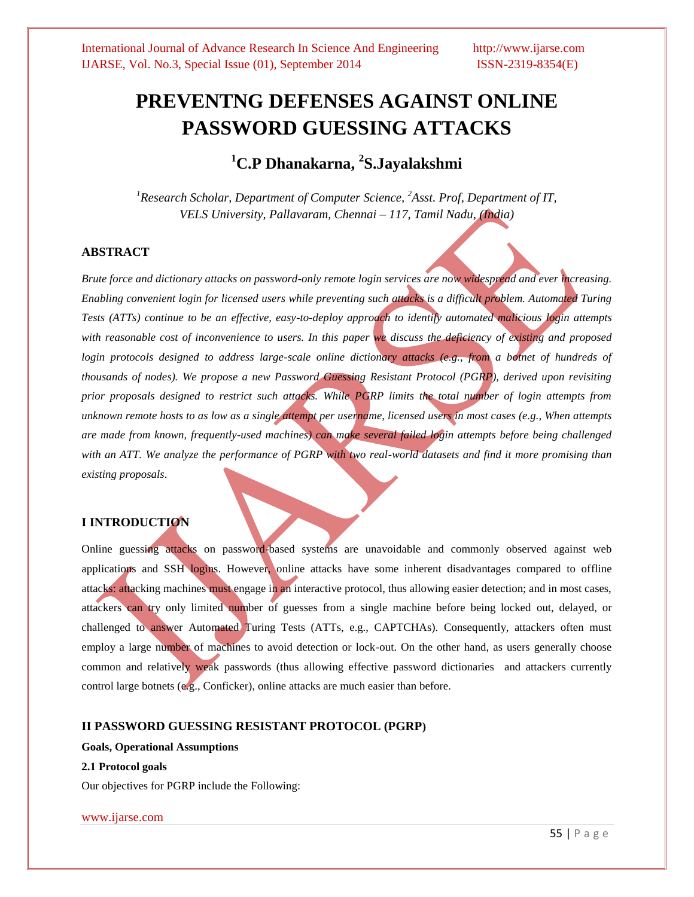# **PREVENTNG DEFENSES AGAINST ONLINE PASSWORD GUESSING ATTACKS**

# **<sup>1</sup>C.P Dhanakarna, <sup>2</sup> S.Jayalakshmi**

*<sup>1</sup>Research Scholar, Department of Computer Science, <sup>2</sup>Asst. Prof, Department of IT, VELS University, Pallavaram, Chennai – 117, Tamil Nadu, (India)*

# **ABSTRACT**

*Brute force and dictionary attacks on password-only remote login services are now widespread and ever increasing. Enabling convenient login for licensed users while preventing such attacks is a difficult problem. Automated Turing Tests (ATTs) continue to be an effective, easy-to-deploy approach to identify automated malicious login attempts with reasonable cost of inconvenience to users. In this paper we discuss the deficiency of existing and proposed login protocols designed to address large-scale online dictionary attacks (e.g., from a botnet of hundreds of thousands of nodes). We propose a new Password Guessing Resistant Protocol (PGRP), derived upon revisiting prior proposals designed to restrict such attacks. While PGRP limits the total number of login attempts from unknown remote hosts to as low as a single attempt per username, licensed users in most cases (e.g., When attempts are made from known, frequently-used machines) can make several failed login attempts before being challenged*  with an ATT. We analyze the performance of PGRP with two real-world datasets and find it more promising than *existing proposals*.

# **I INTRODUCTION**

Online guessing attacks on password-based systems are unavoidable and commonly observed against web applications and SSH logins. However, online attacks have some inherent disadvantages compared to offline attacks: attacking machines must engage in an interactive protocol, thus allowing easier detection; and in most cases, attackers can try only limited number of guesses from a single machine before being locked out, delayed, or challenged to answer Automated Turing Tests (ATTs, e.g., CAPTCHAs). Consequently, attackers often must employ a large number of machines to avoid detection or lock-out. On the other hand, as users generally choose common and relatively weak passwords (thus allowing effective password dictionaries and attackers currently control large botnets (e.g., Conficker), online attacks are much easier than before.

# **II PASSWORD GUESSING RESISTANT PROTOCOL (PGRP)**

# **Goals, Operational Assumptions**

# **2.1 Protocol goals**

Our objectives for PGRP include the Following: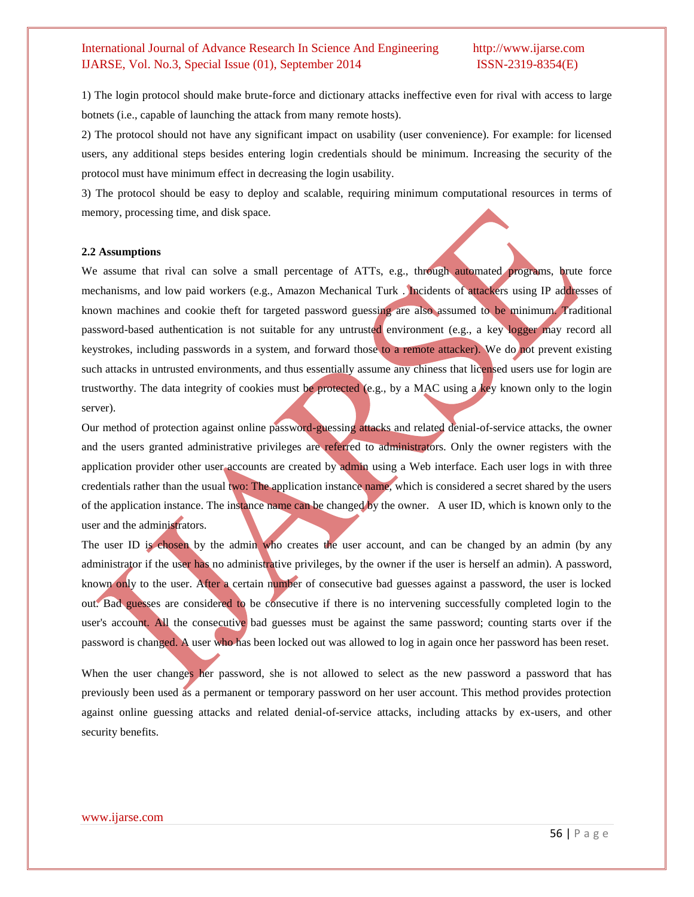# International Journal of Advance Research In Science And Engineering http://www.ijarse.com IJARSE, Vol. No.3, Special Issue (01), September 2014 ISSN-2319-8354(E)

1) The login protocol should make brute-force and dictionary attacks ineffective even for rival with access to large botnets (i.e., capable of launching the attack from many remote hosts).

2) The protocol should not have any significant impact on usability (user convenience). For example: for licensed users, any additional steps besides entering login credentials should be minimum. Increasing the security of the protocol must have minimum effect in decreasing the login usability.

3) The protocol should be easy to deploy and scalable, requiring minimum computational resources in terms of memory, processing time, and disk space.

# **2.2 Assumptions**

We assume that rival can solve a small percentage of ATTs, e.g., through automated programs, brute force mechanisms, and low paid workers (e.g., Amazon Mechanical Turk . Incidents of attackers using IP addresses of known machines and cookie theft for targeted password guessing are also assumed to be minimum. Traditional password-based authentication is not suitable for any untrusted environment (e.g., a key logger may record all keystrokes, including passwords in a system, and forward those to a remote attacker). We do not prevent existing such attacks in untrusted environments, and thus essentially assume any chiness that licensed users use for login are trustworthy. The data integrity of cookies must be protected (e.g., by a MAC using a key known only to the login server).

Our method of protection against online password-guessing attacks and related denial-of-service attacks, the owner and the users granted administrative privileges are referred to administrators. Only the owner registers with the application provider other user accounts are created by admin using a Web interface. Each user logs in with three credentials rather than the usual two: The application instance name, which is considered a secret shared by the users of the application instance. The instance name can be changed by the owner. A user ID, which is known only to the user and the administrators.

The user ID is chosen by the admin who creates the user account, and can be changed by an admin (by any administrator if the user has no administrative privileges, by the owner if the user is herself an admin). A password, known only to the user. After a certain number of consecutive bad guesses against a password, the user is locked out. Bad guesses are considered to be consecutive if there is no intervening successfully completed login to the user's account. All the consecutive bad guesses must be against the same password; counting starts over if the password is changed. A user who has been locked out was allowed to log in again once her password has been reset.

When the user changes her password, she is not allowed to select as the new password a password that has previously been used as a permanent or temporary password on her user account. This method provides protection against online guessing attacks and related denial-of-service attacks, including attacks by ex-users, and other security benefits.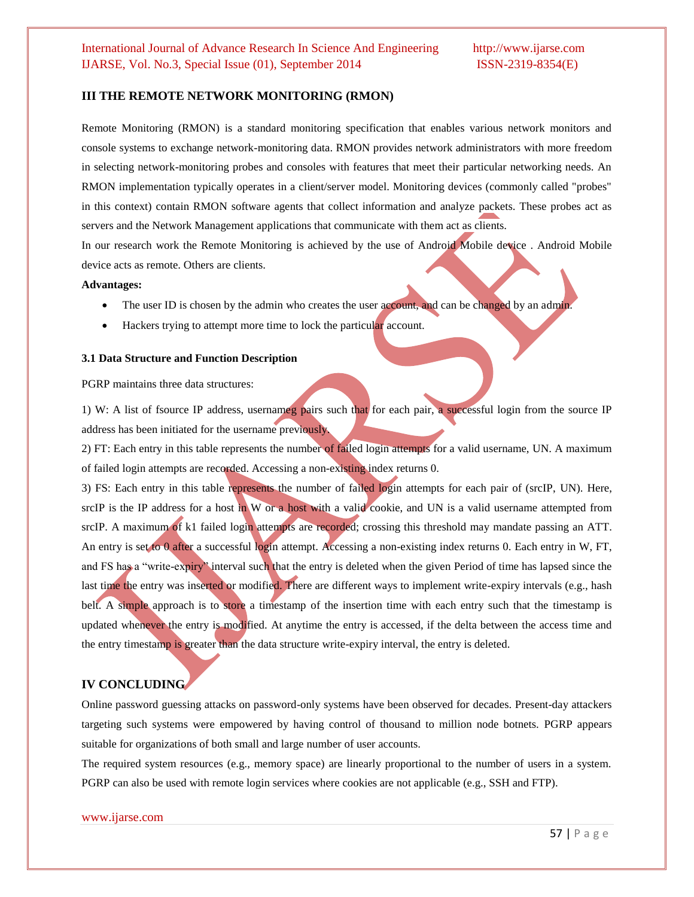# **III THE REMOTE NETWORK MONITORING (RMON)**

Remote Monitoring (RMON) is a standard monitoring specification that enables various network monitors and console systems to exchange network-monitoring data. RMON provides network administrators with more freedom in selecting network-monitoring probes and consoles with features that meet their particular networking needs. An RMON implementation typically operates in a client/server model. Monitoring devices (commonly called "probes" in this context) contain RMON software agents that collect information and analyze packets. These probes act as servers and the Network Management applications that communicate with them act as clients.

In our research work the Remote Monitoring is achieved by the use of Android Mobile device . Android Mobile device acts as remote. Others are clients.

### **Advantages:**

- The user ID is chosen by the admin who creates the user account, and can be changed by an admin.
- Hackers trying to attempt more time to lock the particular account.

## **3.1 Data Structure and Function Description**

PGRP maintains three data structures:

1) W: A list of fsource IP address, usernameg pairs such that for each pair, a successful login from the source IP address has been initiated for the username previously.

2) FT: Each entry in this table represents the number of failed login attempts for a valid username, UN. A maximum of failed login attempts are recorded. Accessing a non-existing index returns 0.

3) FS: Each entry in this table represents the number of failed login attempts for each pair of (srcIP, UN). Here, srcIP is the IP address for a host in W or a host with a valid cookie, and UN is a valid username attempted from srcIP. A maximum of k1 failed login attempts are recorded; crossing this threshold may mandate passing an ATT. An entry is set to 0 after a successful login attempt. Accessing a non-existing index returns 0. Each entry in W, FT, and FS has a "write-expiry" interval such that the entry is deleted when the given Period of time has lapsed since the last time the entry was inserted or modified. There are different ways to implement write-expiry intervals (e.g., hash belt. A simple approach is to store a timestamp of the insertion time with each entry such that the timestamp is updated whenever the entry is modified. At anytime the entry is accessed, if the delta between the access time and the entry timestamp is greater than the data structure write-expiry interval, the entry is deleted.

# **IV CONCLUDING**

Online password guessing attacks on password-only systems have been observed for decades. Present-day attackers targeting such systems were empowered by having control of thousand to million node botnets. PGRP appears suitable for organizations of both small and large number of user accounts.

The required system resources (e.g., memory space) are linearly proportional to the number of users in a system. PGRP can also be used with remote login services where cookies are not applicable (e.g., SSH and FTP).

# www.ijarse.com